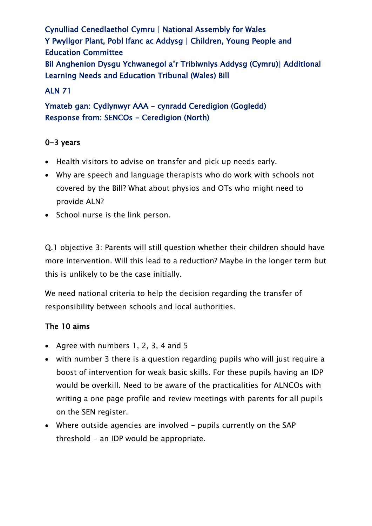Cynulliad Cenedlaethol Cymru | National Assembly for Wales Y Pwyllgor Plant, Pobl Ifanc ac Addysg | Children, Young People and Education Committee Bil Anghenion Dysgu Ychwanegol a'r Tribiwnlys Addysg (Cymru)| Additional Learning Needs and Education Tribunal (Wales) Bill

### ALN 71

Ymateb gan: Cydlynwyr AAA - cynradd Ceredigion (Gogledd) Response from: SENCOs - Ceredigion (North)

### 0-3 years

- Health visitors to advise on transfer and pick up needs early.
- Why are speech and language therapists who do work with schools not covered by the Bill? What about physios and OTs who might need to provide ALN?
- School nurse is the link person.

Q.1 objective 3: Parents will still question whether their children should have more intervention. Will this lead to a reduction? Maybe in the longer term but this is unlikely to be the case initially.

We need national criteria to help the decision regarding the transfer of responsibility between schools and local authorities.

#### The 10 aims

- Agree with numbers 1, 2, 3, 4 and 5
- with number 3 there is a question regarding pupils who will just require a boost of intervention for weak basic skills. For these pupils having an IDP would be overkill. Need to be aware of the practicalities for ALNCOs with writing a one page profile and review meetings with parents for all pupils on the SEN register.
- Where outside agencies are involved pupils currently on the SAP threshold - an IDP would be appropriate.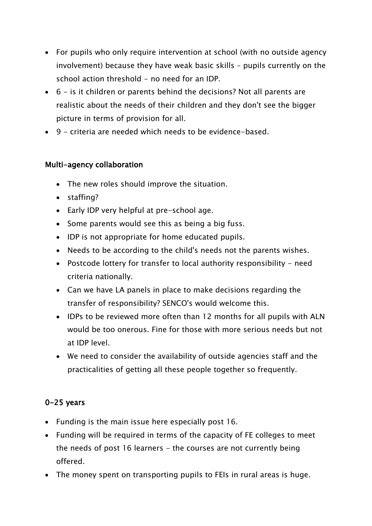- For pupils who only require intervention at school (with no outside agency involvement) because they have weak basic skills – pupils currently on the school action threshold - no need for an IDP.
- 6 is it children or parents behind the decisions? Not all parents are realistic about the needs of their children and they don't see the bigger picture in terms of provision for all.
- 9 criteria are needed which needs to be evidence-based.

### Multi-agency collaboration

- The new roles should improve the situation.
- staffing?
- Early IDP very helpful at pre-school age.
- Some parents would see this as being a big fuss.
- IDP is not appropriate for home educated pupils.
- Needs to be according to the child's needs not the parents wishes.
- Postcode lottery for transfer to local authority responsibility need criteria nationally.
- Can we have LA panels in place to make decisions regarding the transfer of responsibility? SENCO's would welcome this.
- IDPs to be reviewed more often than 12 months for all pupils with ALN would be too onerous. Fine for those with more serious needs but not at IDP level.
- We need to consider the availability of outside agencies staff and the practicalities of getting all these people together so frequently.

## 0-25 years

- Funding is the main issue here especially post 16.
- Funding will be required in terms of the capacity of FE colleges to meet the needs of post 16 learners  $-$  the courses are not currently being offered.
- The money spent on transporting pupils to FEIs in rural areas is huge.